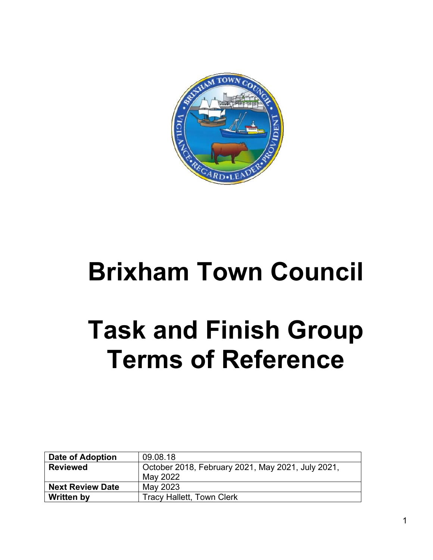

# **Brixham Town Council**

# **Task and Finish Group Terms of Reference**

| Date of Adoption        | 09.08.18                                          |
|-------------------------|---------------------------------------------------|
| <b>Reviewed</b>         | October 2018, February 2021, May 2021, July 2021, |
|                         | May 2022                                          |
| <b>Next Review Date</b> | May 2023                                          |
| <b>Written by</b>       | <b>Tracy Hallett, Town Clerk</b>                  |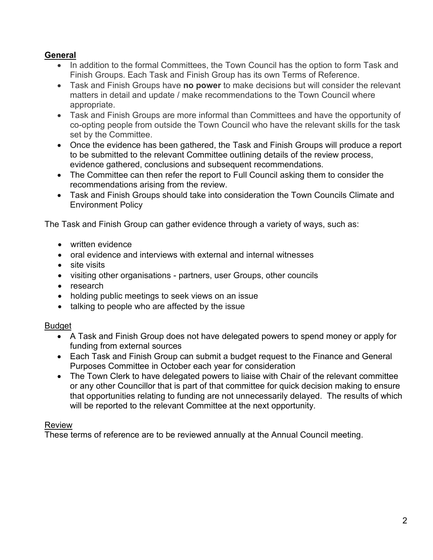# **General**

- In addition to the formal Committees, the Town Council has the option to form Task and Finish Groups. Each Task and Finish Group has its own Terms of Reference.
- Task and Finish Groups have **no power** to make decisions but will consider the relevant matters in detail and update / make recommendations to the Town Council where appropriate.
- Task and Finish Groups are more informal than Committees and have the opportunity of co-opting people from outside the Town Council who have the relevant skills for the task set by the Committee.
- Once the evidence has been gathered, the Task and Finish Groups will produce a report to be submitted to the relevant Committee outlining details of the review process, evidence gathered, conclusions and subsequent recommendations.
- The Committee can then refer the report to Full Council asking them to consider the recommendations arising from the review.
- Task and Finish Groups should take into consideration the Town Councils Climate and Environment Policy

The Task and Finish Group can gather evidence through a variety of ways, such as:

- written evidence
- oral evidence and interviews with external and internal witnesses
- site visits
- visiting other organisations partners, user Groups, other councils
- research
- holding public meetings to seek views on an issue
- talking to people who are affected by the issue

#### Budget

- A Task and Finish Group does not have delegated powers to spend money or apply for funding from external sources
- Each Task and Finish Group can submit a budget request to the Finance and General Purposes Committee in October each year for consideration
- The Town Clerk to have delegated powers to liaise with Chair of the relevant committee or any other Councillor that is part of that committee for quick decision making to ensure that opportunities relating to funding are not unnecessarily delayed. The results of which will be reported to the relevant Committee at the next opportunity.

## Review

These terms of reference are to be reviewed annually at the Annual Council meeting.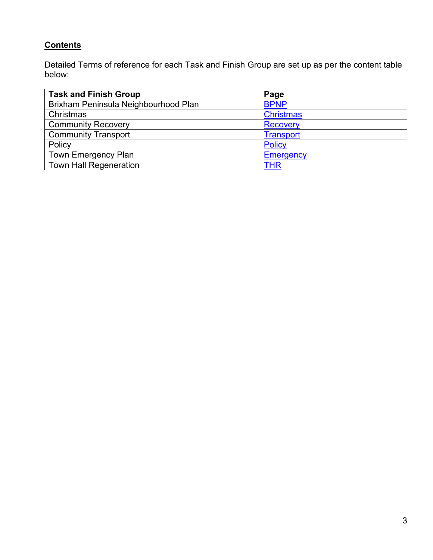# **Contents**

Detailed Terms of reference for each Task and Finish Group are set up as per the content table below:

<span id="page-2-0"></span>

| <b>Task and Finish Group</b>         | Page             |
|--------------------------------------|------------------|
| Brixham Peninsula Neighbourhood Plan | <b>BPNP</b>      |
| Christmas                            | <b>Christmas</b> |
| <b>Community Recovery</b>            | <b>Recovery</b>  |
| <b>Community Transport</b>           | <b>Transport</b> |
| Policy                               | <b>Policy</b>    |
| <b>Town Emergency Plan</b>           | Emergency        |
| <b>Town Hall Regeneration</b>        | THR              |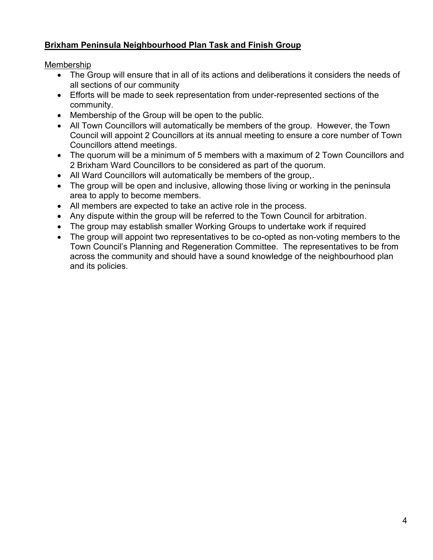# <span id="page-3-0"></span>**Brixham Peninsula Neighbourhood Plan Task and Finish Group**

Membership

- The Group will ensure that in all of its actions and deliberations it considers the needs of all sections of our community
- Efforts will be made to seek representation from under-represented sections of the community.
- Membership of the Group will be open to the public.
- All Town Councillors will automatically be members of the group. However, the Town Council will appoint 2 Councillors at its annual meeting to ensure a core number of Town Councillors attend meetings.
- The quorum will be a minimum of 5 members with a maximum of 2 Town Councillors and 2 Brixham Ward Councillors to be considered as part of the quorum.
- All Ward Councillors will automatically be members of the group,.
- The group will be open and inclusive, allowing those living or working in the peninsula area to apply to become members.
- All members are expected to take an active role in the process.
- Any dispute within the group will be referred to the Town Council for arbitration.
- The group may establish smaller Working Groups to undertake work if required
- The group will appoint two representatives to be co-opted as non-voting members to the Town Council's Planning and Regeneration Committee. The representatives to be from across the community and should have a sound knowledge of the neighbourhood plan and its policies.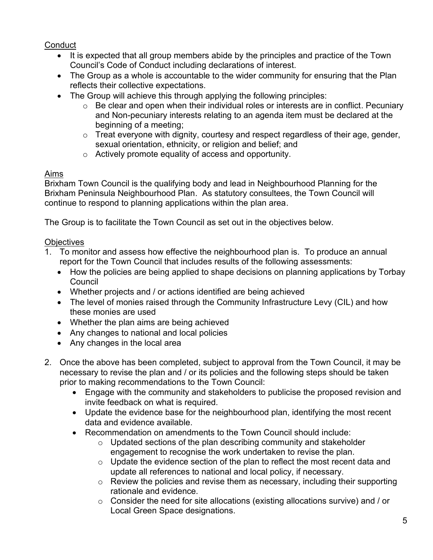# **Conduct**

- It is expected that all group members abide by the principles and practice of the Town Council's Code of Conduct including declarations of interest.
- The Group as a whole is accountable to the wider community for ensuring that the Plan reflects their collective expectations.
- The Group will achieve this through applying the following principles:
	- o Be clear and open when their individual roles or interests are in conflict. Pecuniary and Non-pecuniary interests relating to an agenda item must be declared at the beginning of a meeting;
	- $\circ$  Treat everyone with dignity, courtesy and respect regardless of their age, gender, sexual orientation, ethnicity, or religion and belief; and
	- o Actively promote equality of access and opportunity.

# Aims

Brixham Town Council is the qualifying body and lead in Neighbourhood Planning for the Brixham Peninsula Neighbourhood Plan. As statutory consultees, the Town Council will continue to respond to planning applications within the plan area.

The Group is to facilitate the Town Council as set out in the objectives below.

# **Objectives**

- 1. To monitor and assess how effective the neighbourhood plan is. To produce an annual report for the Town Council that includes results of the following assessments:
	- How the policies are being applied to shape decisions on planning applications by Torbay Council
	- Whether projects and / or actions identified are being achieved
	- The level of monies raised through the Community Infrastructure Levy (CIL) and how these monies are used
	- Whether the plan aims are being achieved
	- Any changes to national and local policies
	- Any changes in the local area
- 2. Once the above has been completed, subject to approval from the Town Council, it may be necessary to revise the plan and / or its policies and the following steps should be taken prior to making recommendations to the Town Council:
	- Engage with the community and stakeholders to publicise the proposed revision and invite feedback on what is required.
	- Update the evidence base for the neighbourhood plan, identifying the most recent data and evidence available.
	- Recommendation on amendments to the Town Council should include:
		- $\circ$  Updated sections of the plan describing community and stakeholder engagement to recognise the work undertaken to revise the plan.
		- o Update the evidence section of the plan to reflect the most recent data and update all references to national and local policy, if necessary.
		- o Review the policies and revise them as necessary, including their supporting rationale and evidence.
		- o Consider the need for site allocations (existing allocations survive) and / or Local Green Space designations.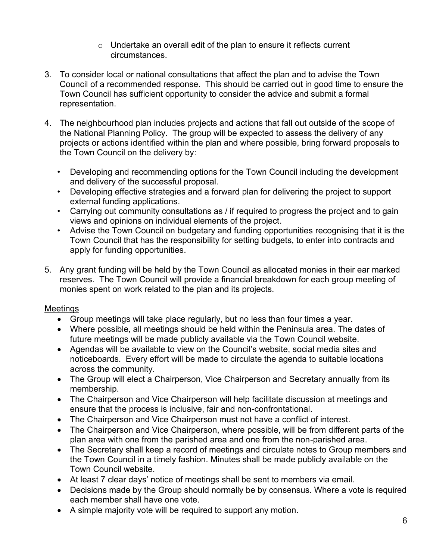- $\circ$  Undertake an overall edit of the plan to ensure it reflects current circumstances.
- 3. To consider local or national consultations that affect the plan and to advise the Town Council of a recommended response. This should be carried out in good time to ensure the Town Council has sufficient opportunity to consider the advice and submit a formal representation.
- 4. The neighbourhood plan includes projects and actions that fall out outside of the scope of the National Planning Policy. The group will be expected to assess the delivery of any projects or actions identified within the plan and where possible, bring forward proposals to the Town Council on the delivery by:
	- Developing and recommending options for the Town Council including the development and delivery of the successful proposal.
	- Developing effective strategies and a forward plan for delivering the project to support external funding applications.
	- Carrying out community consultations as / if required to progress the project and to gain views and opinions on individual elements of the project.
	- Advise the Town Council on budgetary and funding opportunities recognising that it is the Town Council that has the responsibility for setting budgets, to enter into contracts and apply for funding opportunities.
- 5. Any grant funding will be held by the Town Council as allocated monies in their ear marked reserves. The Town Council will provide a financial breakdown for each group meeting of monies spent on work related to the plan and its projects.

## Meetings

- Group meetings will take place regularly, but no less than four times a year.
- Where possible, all meetings should be held within the Peninsula area. The dates of future meetings will be made publicly available via the Town Council website.
- Agendas will be available to view on the Council's website, social media sites and noticeboards. Every effort will be made to circulate the agenda to suitable locations across the community.
- The Group will elect a Chairperson, Vice Chairperson and Secretary annually from its membership.
- The Chairperson and Vice Chairperson will help facilitate discussion at meetings and ensure that the process is inclusive, fair and non-confrontational.
- The Chairperson and Vice Chairperson must not have a conflict of interest.
- The Chairperson and Vice Chairperson, where possible, will be from different parts of the plan area with one from the parished area and one from the non-parished area.
- The Secretary shall keep a record of meetings and circulate notes to Group members and the Town Council in a timely fashion. Minutes shall be made publicly available on the Town Council website.
- At least 7 clear days' notice of meetings shall be sent to members via email.
- Decisions made by the Group should normally be by consensus. Where a vote is required each member shall have one vote.
- A simple majority vote will be required to support any motion.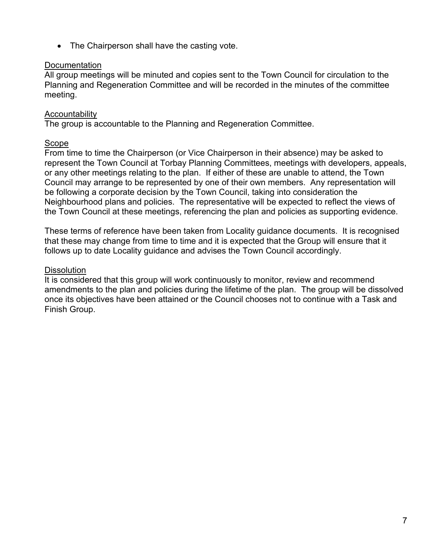• The Chairperson shall have the casting vote.

#### **Documentation**

All group meetings will be minuted and copies sent to the Town Council for circulation to the Planning and Regeneration Committee and will be recorded in the minutes of the committee meeting.

## Accountability

The group is accountable to the Planning and Regeneration Committee.

#### Scope

From time to time the Chairperson (or Vice Chairperson in their absence) may be asked to represent the Town Council at Torbay Planning Committees, meetings with developers, appeals, or any other meetings relating to the plan. If either of these are unable to attend, the Town Council may arrange to be represented by one of their own members. Any representation will be following a corporate decision by the Town Council, taking into consideration the Neighbourhood plans and policies. The representative will be expected to reflect the views of the Town Council at these meetings, referencing the plan and policies as supporting evidence.

These terms of reference have been taken from Locality guidance documents. It is recognised that these may change from time to time and it is expected that the Group will ensure that it follows up to date Locality guidance and advises the Town Council accordingly.

#### **Dissolution**

It is considered that this group will work continuously to monitor, review and recommend amendments to the plan and policies during the lifetime of the plan. The group will be dissolved once its objectives have been attained or the Council chooses not to continue with a Task and Finish Group.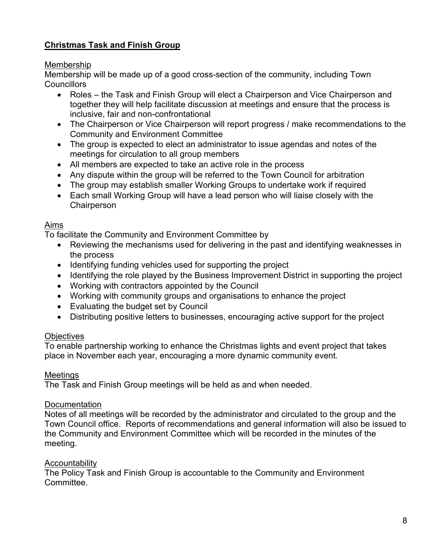# <span id="page-7-0"></span>**Christmas Task and Finish Group**

#### Membership

Membership will be made up of a good cross-section of the community, including Town **Councillors** 

- Roles the Task and Finish Group will elect a Chairperson and Vice Chairperson and together they will help facilitate discussion at meetings and ensure that the process is inclusive, fair and non-confrontational
- The Chairperson or Vice Chairperson will report progress / make recommendations to the Community and Environment Committee
- The group is expected to elect an administrator to issue agendas and notes of the meetings for circulation to all group members
- All members are expected to take an active role in the process
- Any dispute within the group will be referred to the Town Council for arbitration
- The group may establish smaller Working Groups to undertake work if required
- Each small Working Group will have a lead person who will liaise closely with the **Chairperson**

#### Aims

To facilitate the Community and Environment Committee by

- Reviewing the mechanisms used for delivering in the past and identifying weaknesses in the process
- Identifying funding vehicles used for supporting the project
- Identifying the role played by the Business Improvement District in supporting the project
- Working with contractors appointed by the Council
- Working with community groups and organisations to enhance the project
- Evaluating the budget set by Council
- Distributing positive letters to businesses, encouraging active support for the project

## **Objectives**

To enable partnership working to enhance the Christmas lights and event project that takes place in November each year, encouraging a more dynamic community event.

## **Meetings**

The Task and Finish Group meetings will be held as and when needed.

## **Documentation**

Notes of all meetings will be recorded by the administrator and circulated to the group and the Town Council office. Reports of recommendations and general information will also be issued to the Community and Environment Committee which will be recorded in the minutes of the meeting.

## Accountability

The Policy Task and Finish Group is accountable to the Community and Environment **Committee**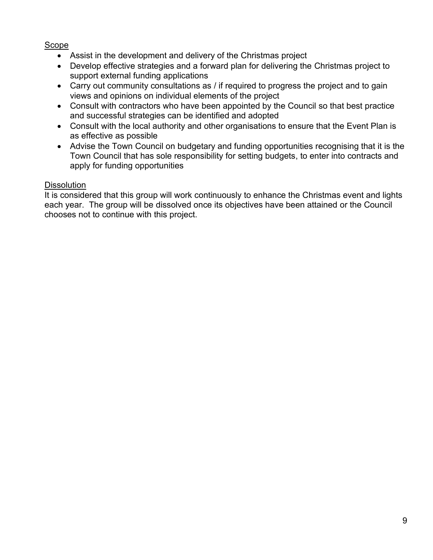#### Scope

- Assist in the development and delivery of the Christmas project
- Develop effective strategies and a forward plan for delivering the Christmas project to support external funding applications
- Carry out community consultations as / if required to progress the project and to gain views and opinions on individual elements of the project
- Consult with contractors who have been appointed by the Council so that best practice and successful strategies can be identified and adopted
- Consult with the local authority and other organisations to ensure that the Event Plan is as effective as possible
- Advise the Town Council on budgetary and funding opportunities recognising that it is the Town Council that has sole responsibility for setting budgets, to enter into contracts and apply for funding opportunities

#### **Dissolution**

It is considered that this group will work continuously to enhance the Christmas event and lights each year. The group will be dissolved once its objectives have been attained or the Council chooses not to continue with this project.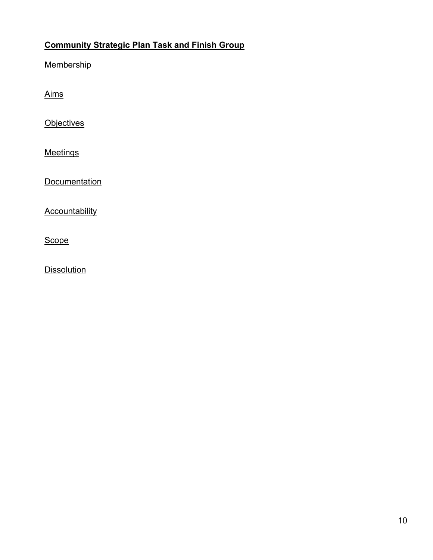# <span id="page-9-0"></span>**Community Strategic Plan Task and Finish Group**

**Membership** 

Aims

**Objectives** 

**Meetings** 

**Documentation** 

**Accountability** 

**Scope** 

**Dissolution**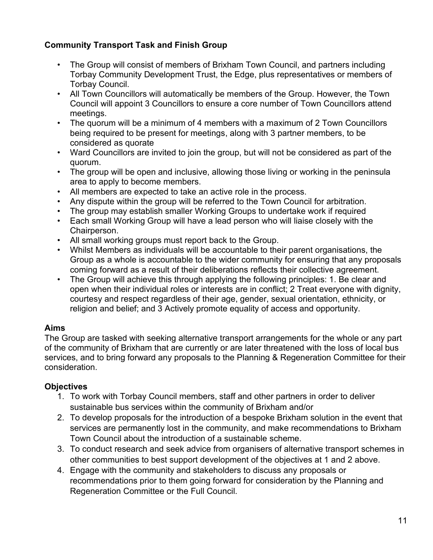# **Community Transport Task and Finish Group**

- The Group will consist of members of Brixham Town Council, and partners including Torbay Community Development Trust, the Edge, plus representatives or members of Torbay Council.
- All Town Councillors will automatically be members of the Group. However, the Town Council will appoint 3 Councillors to ensure a core number of Town Councillors attend meetings.
- The quorum will be a minimum of 4 members with a maximum of 2 Town Councillors being required to be present for meetings, along with 3 partner members, to be considered as quorate
- Ward Councillors are invited to join the group, but will not be considered as part of the quorum.
- The group will be open and inclusive, allowing those living or working in the peninsula area to apply to become members.
- All members are expected to take an active role in the process.
- Any dispute within the group will be referred to the Town Council for arbitration.
- The group may establish smaller Working Groups to undertake work if required
- Each small Working Group will have a lead person who will liaise closely with the Chairperson.
- All small working groups must report back to the Group.
- Whilst Members as individuals will be accountable to their parent organisations, the Group as a whole is accountable to the wider community for ensuring that any proposals coming forward as a result of their deliberations reflects their collective agreement.
- The Group will achieve this through applying the following principles: 1. Be clear and open when their individual roles or interests are in conflict; 2 Treat everyone with dignity, courtesy and respect regardless of their age, gender, sexual orientation, ethnicity, or religion and belief; and 3 Actively promote equality of access and opportunity.

# **Aims**

The Group are tasked with seeking alternative transport arrangements for the whole or any part of the community of Brixham that are currently or are later threatened with the loss of local bus services, and to bring forward any proposals to the Planning & Regeneration Committee for their consideration.

# **Objectives**

- 1. To work with Torbay Council members, staff and other partners in order to deliver sustainable bus services within the community of Brixham and/or
- 2. To develop proposals for the introduction of a bespoke Brixham solution in the event that services are permanently lost in the community, and make recommendations to Brixham Town Council about the introduction of a sustainable scheme.
- 3. To conduct research and seek advice from organisers of alternative transport schemes in other communities to best support development of the objectives at 1 and 2 above.
- 4. Engage with the community and stakeholders to discuss any proposals or recommendations prior to them going forward for consideration by the Planning and Regeneration Committee or the Full Council.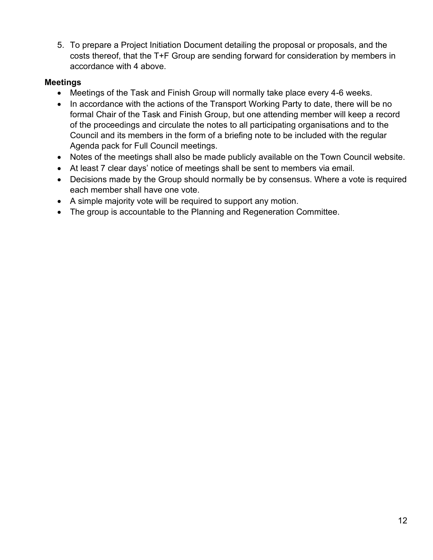5. To prepare a Project Initiation Document detailing the proposal or proposals, and the costs thereof, that the T+F Group are sending forward for consideration by members in accordance with 4 above.

## **Meetings**

- Meetings of the Task and Finish Group will normally take place every 4-6 weeks.
- In accordance with the actions of the Transport Working Party to date, there will be no formal Chair of the Task and Finish Group, but one attending member will keep a record of the proceedings and circulate the notes to all participating organisations and to the Council and its members in the form of a briefing note to be included with the regular Agenda pack for Full Council meetings.
- Notes of the meetings shall also be made publicly available on the Town Council website.
- At least 7 clear days' notice of meetings shall be sent to members via email.
- Decisions made by the Group should normally be by consensus. Where a vote is required each member shall have one vote.
- A simple majority vote will be required to support any motion.
- The group is accountable to the Planning and Regeneration Committee.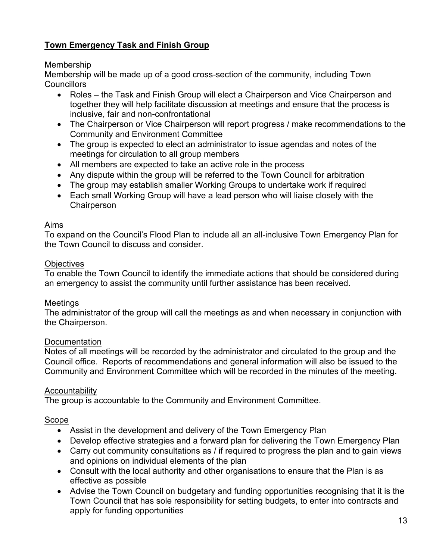# <span id="page-12-0"></span>**Town Emergency Task and Finish Group**

#### Membership

Membership will be made up of a good cross-section of the community, including Town **Councillors** 

- Roles the Task and Finish Group will elect a Chairperson and Vice Chairperson and together they will help facilitate discussion at meetings and ensure that the process is inclusive, fair and non-confrontational
- The Chairperson or Vice Chairperson will report progress / make recommendations to the Community and Environment Committee
- The group is expected to elect an administrator to issue agendas and notes of the meetings for circulation to all group members
- All members are expected to take an active role in the process
- Any dispute within the group will be referred to the Town Council for arbitration
- The group may establish smaller Working Groups to undertake work if required
- Each small Working Group will have a lead person who will liaise closely with the **Chairperson**

#### Aims

To expand on the Council's Flood Plan to include all an all-inclusive Town Emergency Plan for the Town Council to discuss and consider.

#### **Objectives**

To enable the Town Council to identify the immediate actions that should be considered during an emergency to assist the community until further assistance has been received.

#### Meetings

The administrator of the group will call the meetings as and when necessary in conjunction with the Chairperson.

#### **Documentation**

Notes of all meetings will be recorded by the administrator and circulated to the group and the Council office. Reports of recommendations and general information will also be issued to the Community and Environment Committee which will be recorded in the minutes of the meeting.

## **Accountability**

The group is accountable to the Community and Environment Committee.

#### Scope

- Assist in the development and delivery of the Town Emergency Plan
- Develop effective strategies and a forward plan for delivering the Town Emergency Plan
- Carry out community consultations as / if required to progress the plan and to gain views and opinions on individual elements of the plan
- Consult with the local authority and other organisations to ensure that the Plan is as effective as possible
- Advise the Town Council on budgetary and funding opportunities recognising that it is the Town Council that has sole responsibility for setting budgets, to enter into contracts and apply for funding opportunities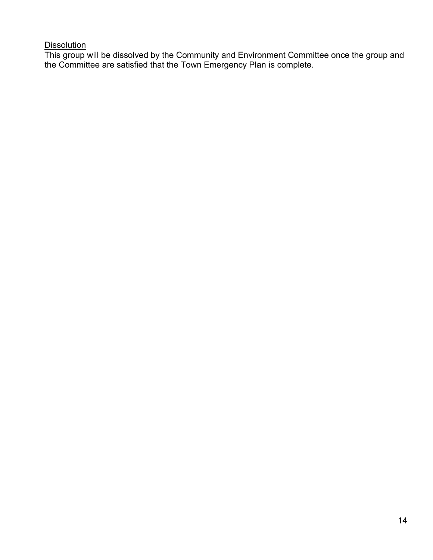#### Dissolution

This group will be dissolved by the Community and Environment Committee once the group and the Committee are satisfied that the Town Emergency Plan is complete.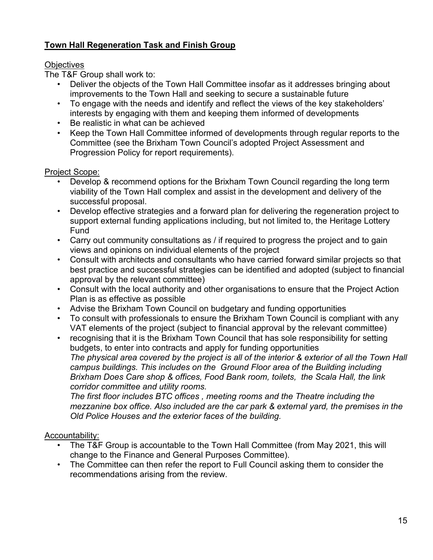# <span id="page-14-0"></span>**Town Hall Regeneration Task and Finish Group**

## **Objectives**

The T&F Group shall work to:

- Deliver the objects of the Town Hall Committee insofar as it addresses bringing about improvements to the Town Hall and seeking to secure a sustainable future
- To engage with the needs and identify and reflect the views of the key stakeholders' interests by engaging with them and keeping them informed of developments
- Be realistic in what can be achieved
- Keep the Town Hall Committee informed of developments through regular reports to the Committee (see the Brixham Town Council's adopted Project Assessment and Progression Policy for report requirements).

# Project Scope:

- Develop & recommend options for the Brixham Town Council regarding the long term viability of the Town Hall complex and assist in the development and delivery of the successful proposal.
- Develop effective strategies and a forward plan for delivering the regeneration project to support external funding applications including, but not limited to, the Heritage Lottery Fund
- Carry out community consultations as / if required to progress the project and to gain views and opinions on individual elements of the project
- Consult with architects and consultants who have carried forward similar projects so that best practice and successful strategies can be identified and adopted (subject to financial approval by the relevant committee)
- Consult with the local authority and other organisations to ensure that the Project Action Plan is as effective as possible
- Advise the Brixham Town Council on budgetary and funding opportunities
- To consult with professionals to ensure the Brixham Town Council is compliant with any VAT elements of the project (subject to financial approval by the relevant committee)
- recognising that it is the Brixham Town Council that has sole responsibility for setting budgets, to enter into contracts and apply for funding opportunities *The physical area covered by the project is all of the interior & exterior of all the Town Hall campus buildings. This includes on the Ground Floor area of the Building including Brixham Does Care shop & offices, Food Bank room, toilets, the Scala Hall, the link corridor committee and utility rooms.*

*The first floor includes BTC offices , meeting rooms and the Theatre including the mezzanine box office. Also included are the car park & external yard, the premises in the Old Police Houses and the exterior faces of the building.*

# Accountability:

- The T&F Group is accountable to the Town Hall Committee (from May 2021, this will change to the Finance and General Purposes Committee).
- The Committee can then refer the report to Full Council asking them to consider the recommendations arising from the review.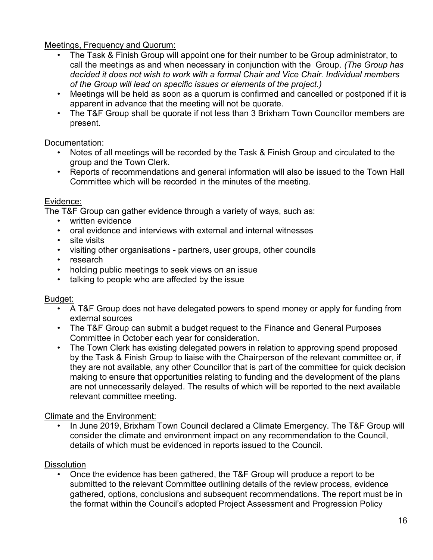Meetings, Frequency and Quorum:

- The Task & Finish Group will appoint one for their number to be Group administrator, to call the meetings as and when necessary in conjunction with the Group. *(The Group has decided it does not wish to work with a formal Chair and Vice Chair. Individual members of the Group will lead on specific issues or elements of the project.)*
- Meetings will be held as soon as a quorum is confirmed and cancelled or postponed if it is apparent in advance that the meeting will not be quorate.
- The T&F Group shall be quorate if not less than 3 Brixham Town Councillor members are present.

## Documentation:

- Notes of all meetings will be recorded by the Task & Finish Group and circulated to the group and the Town Clerk.
- Reports of recommendations and general information will also be issued to the Town Hall Committee which will be recorded in the minutes of the meeting.

## Evidence:

The T&F Group can gather evidence through a variety of ways, such as:

- written evidence
- oral evidence and interviews with external and internal witnesses
- site visits
- visiting other organisations partners, user groups, other councils
- research
- holding public meetings to seek views on an issue
- talking to people who are affected by the issue

## Budget:

- A T&F Group does not have delegated powers to spend money or apply for funding from external sources
- The T&F Group can submit a budget request to the Finance and General Purposes Committee in October each year for consideration.
- The Town Clerk has existing delegated powers in relation to approving spend proposed by the Task & Finish Group to liaise with the Chairperson of the relevant committee or, if they are not available, any other Councillor that is part of the committee for quick decision making to ensure that opportunities relating to funding and the development of the plans are not unnecessarily delayed. The results of which will be reported to the next available relevant committee meeting.

## Climate and the Environment:

• In June 2019, Brixham Town Council declared a Climate Emergency. The T&F Group will consider the climate and environment impact on any recommendation to the Council, details of which must be evidenced in reports issued to the Council.

## **Dissolution**

• Once the evidence has been gathered, the T&F Group will produce a report to be submitted to the relevant Committee outlining details of the review process, evidence gathered, options, conclusions and subsequent recommendations. The report must be in the format within the Council's adopted Project Assessment and Progression Policy